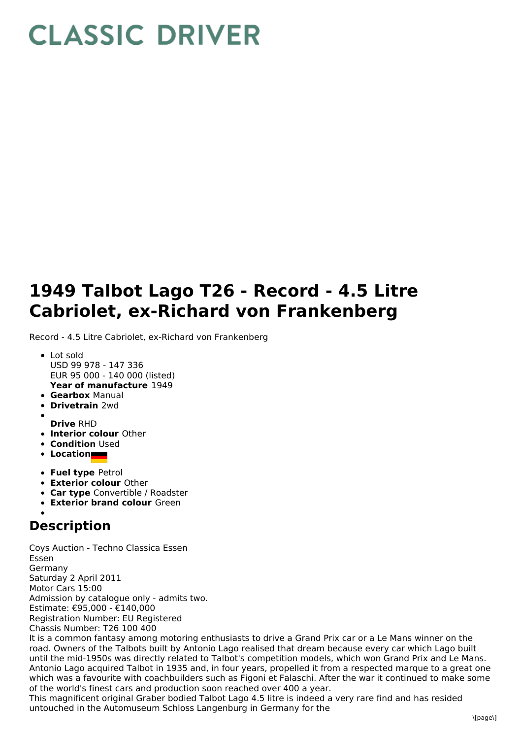## **CLASSIC DRIVER**

## **1949 Talbot Lago T26 - Record - 4.5 Litre Cabriolet, ex-Richard von Frankenberg**

Record - 4.5 Litre Cabriolet, ex-Richard von Frankenberg

- **Year of manufacture** 1949 Lot sold USD 99 978 - 147 336 EUR 95 000 - 140 000 (listed)
- **Gearbox** Manual
- **Drivetrain** 2wd
- **Drive** RHD
- **Interior colour** Other
- **Condition** Used
- **Location**
- **Fuel type** Petrol
- **Exterior colour** Other
- **Car type** Convertible / Roadster
- **Exterior brand colour** Green

## **Description**

Coys Auction - Techno Classica Essen Essen Germany Saturday 2 April 2011 Motor Cars 15:00 Admission by catalogue only - admits two. Estimate: €95,000 - €140,000 Registration Number: EU Registered Chassis Number: T26 100 400 It is a common fantasy among motoring enthusiasts to drive a Grand Prix car or a Le Mans winner on the road. Owners of the Talbots built by Antonio Lago realised that dream because every car which Lago built until the mid-1950s was directly related to Talbot's competition models, which won Grand Prix and Le Mans. Antonio Lago acquired Talbot in 1935 and, in four years, propelled it from a respected marque to a great one

which was a favourite with coachbuilders such as Figoni et Falaschi. After the war it continued to make some of the world's finest cars and production soon reached over 400 a year.

This magnificent original Graber bodied Talbot Lago 4.5 litre is indeed a very rare find and has resided untouched in the Automuseum Schloss Langenburg in Germany for the